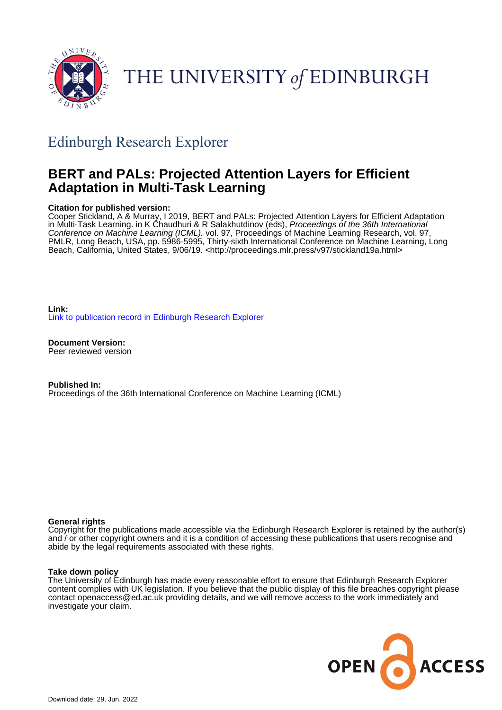

# THE UNIVERSITY of EDINBURGH

## Edinburgh Research Explorer

## **BERT and PALs: Projected Attention Layers for Efficient Adaptation in Multi-Task Learning**

#### **Citation for published version:**

Cooper Stickland, A & Murray, I 2019, BERT and PALs: Projected Attention Layers for Efficient Adaptation in Multi-Task Learning. in K Chaudhuri & R Salakhutdinov (eds), Proceedings of the 36th International Conference on Machine Learning (ICML). vol. 97, Proceedings of Machine Learning Research, vol. 97, PMLR, Long Beach, USA, pp. 5986-5995, Thirty-sixth International Conference on Machine Learning, Long Beach, California, United States, 9/06/19. [<http://proceedings.mlr.press/v97/stickland19a.html](http://proceedings.mlr.press/v97/stickland19a.html)>

**Link:** [Link to publication record in Edinburgh Research Explorer](https://www.research.ed.ac.uk/en/publications/93420d8b-127b-4f4c-b012-d502fa20a088)

**Document Version:** Peer reviewed version

**Published In:** Proceedings of the 36th International Conference on Machine Learning (ICML)

#### **General rights**

Copyright for the publications made accessible via the Edinburgh Research Explorer is retained by the author(s) and / or other copyright owners and it is a condition of accessing these publications that users recognise and abide by the legal requirements associated with these rights.

#### **Take down policy**

The University of Edinburgh has made every reasonable effort to ensure that Edinburgh Research Explorer content complies with UK legislation. If you believe that the public display of this file breaches copyright please contact openaccess@ed.ac.uk providing details, and we will remove access to the work immediately and investigate your claim.

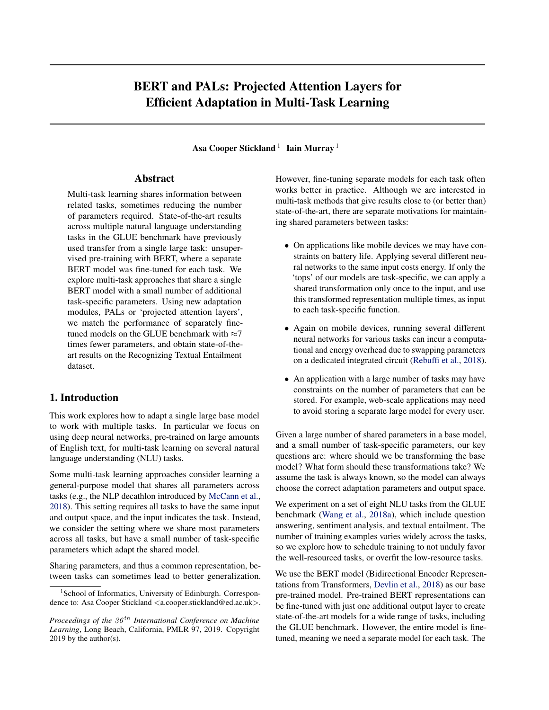## BERT and PALs: Projected Attention Layers for Efficient Adaptation in Multi-Task Learning

Asa Cooper Stickland  $^1$  Iain Murray  $^1$ 

#### Abstract

Multi-task learning shares information between related tasks, sometimes reducing the number of parameters required. State-of-the-art results across multiple natural language understanding tasks in the GLUE benchmark have previously used transfer from a single large task: unsupervised pre-training with BERT, where a separate BERT model was fine-tuned for each task. We explore multi-task approaches that share a single BERT model with a small number of additional task-specific parameters. Using new adaptation modules, PALs or 'projected attention layers', we match the performance of separately finetuned models on the GLUE benchmark with  $\approx$ 7 times fewer parameters, and obtain state-of-theart results on the Recognizing Textual Entailment dataset.

#### 1. Introduction

This work explores how to adapt a single large base model to work with multiple tasks. In particular we focus on using deep neural networks, pre-trained on large amounts of English text, for multi-task learning on several natural language understanding (NLU) tasks.

Some multi-task learning approaches consider learning a general-purpose model that shares all parameters across tasks (e.g., the NLP decathlon introduced by [McCann et al.,](#page-9-0) [2018\)](#page-9-0). This setting requires all tasks to have the same input and output space, and the input indicates the task. Instead, we consider the setting where we share most parameters across all tasks, but have a small number of task-specific parameters which adapt the shared model.

Sharing parameters, and thus a common representation, between tasks can sometimes lead to better generalization. However, fine-tuning separate models for each task often works better in practice. Although we are interested in multi-task methods that give results close to (or better than) state-of-the-art, there are separate motivations for maintaining shared parameters between tasks:

- On applications like mobile devices we may have constraints on battery life. Applying several different neural networks to the same input costs energy. If only the 'tops' of our models are task-specific, we can apply a shared transformation only once to the input, and use this transformed representation multiple times, as input to each task-specific function.
- Again on mobile devices, running several different neural networks for various tasks can incur a computational and energy overhead due to swapping parameters on a dedicated integrated circuit [\(Rebuffi et al.,](#page-10-0) [2018\)](#page-10-0).
- An application with a large number of tasks may have constraints on the number of parameters that can be stored. For example, web-scale applications may need to avoid storing a separate large model for every user.

Given a large number of shared parameters in a base model, and a small number of task-specific parameters, our key questions are: where should we be transforming the base model? What form should these transformations take? We assume the task is always known, so the model can always choose the correct adaptation parameters and output space.

We experiment on a set of eight NLU tasks from the GLUE benchmark [\(Wang et al.,](#page-10-0) [2018a\)](#page-10-0), which include question answering, sentiment analysis, and textual entailment. The number of training examples varies widely across the tasks, so we explore how to schedule training to not unduly favor the well-resourced tasks, or overfit the low-resource tasks.

We use the BERT model (Bidirectional Encoder Representations from Transformers, [Devlin et al.,](#page-9-0) [2018\)](#page-9-0) as our base pre-trained model. Pre-trained BERT representations can be fine-tuned with just one additional output layer to create state-of-the-art models for a wide range of tasks, including the GLUE benchmark. However, the entire model is finetuned, meaning we need a separate model for each task. The

<sup>&</sup>lt;sup>1</sup>School of Informatics, University of Edinburgh. Correspondence to: Asa Cooper Stickland <a.cooper.stickland@ed.ac.uk>.

*Proceedings of the*  $36<sup>th</sup>$  *International Conference on Machine Learning*, Long Beach, California, PMLR 97, 2019. Copyright 2019 by the author(s).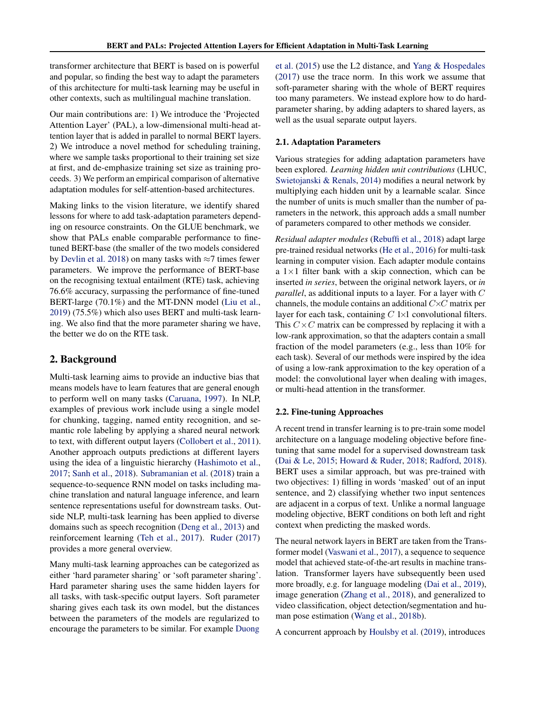<span id="page-2-0"></span>transformer architecture that BERT is based on is powerful and popular, so finding the best way to adapt the parameters of this architecture for multi-task learning may be useful in other contexts, such as multilingual machine translation.

Our main contributions are: 1) We introduce the 'Projected Attention Layer' (PAL), a low-dimensional multi-head attention layer that is added in parallel to normal BERT layers. 2) We introduce a novel method for scheduling training, where we sample tasks proportional to their training set size at first, and de-emphasize training set size as training proceeds. 3) We perform an empirical comparison of alternative adaptation modules for self-attention-based architectures.

Making links to the vision literature, we identify shared lessons for where to add task-adaptation parameters depending on resource constraints. On the GLUE benchmark, we show that PALs enable comparable performance to finetuned BERT-base (the smaller of the two models considered by [Devlin et al.](#page-9-0) [2018\)](#page-9-0) on many tasks with  $\approx$ 7 times fewer parameters. We improve the performance of BERT-base on the recognising textual entailment (RTE) task, achieving 76.6% accuracy, surpassing the performance of fine-tuned BERT-large (70.1%) and the MT-DNN model [\(Liu et al.,](#page-9-0) [2019\)](#page-9-0) (75.5%) which also uses BERT and multi-task learning. We also find that the more parameter sharing we have, the better we do on the RTE task.

#### 2. Background

Multi-task learning aims to provide an inductive bias that means models have to learn features that are general enough to perform well on many tasks [\(Caruana,](#page-9-0) [1997\)](#page-9-0). In NLP, examples of previous work include using a single model for chunking, tagging, named entity recognition, and semantic role labeling by applying a shared neural network to text, with different output layers [\(Collobert et al.,](#page-9-0) [2011\)](#page-9-0). Another approach outputs predictions at different layers using the idea of a linguistic hierarchy [\(Hashimoto et al.,](#page-9-0) [2017;](#page-9-0) [Sanh et al.,](#page-10-0) [2018\)](#page-10-0). [Subramanian et al.](#page-10-0) [\(2018\)](#page-10-0) train a sequence-to-sequence RNN model on tasks including machine translation and natural language inference, and learn sentence representations useful for downstream tasks. Outside NLP, multi-task learning has been applied to diverse domains such as speech recognition [\(Deng et al.,](#page-9-0) [2013\)](#page-9-0) and reinforcement learning [\(Teh et al.,](#page-10-0) [2017\)](#page-10-0). [Ruder](#page-10-0) [\(2017\)](#page-10-0) provides a more general overview.

Many multi-task learning approaches can be categorized as either 'hard parameter sharing' or 'soft parameter sharing'. Hard parameter sharing uses the same hidden layers for all tasks, with task-specific output layers. Soft parameter sharing gives each task its own model, but the distances between the parameters of the models are regularized to encourage the parameters to be similar. For example [Duong](#page-9-0)

[et al.](#page-9-0) [\(2015\)](#page-9-0) use the L2 distance, and [Yang & Hospedales](#page-10-0) [\(2017\)](#page-10-0) use the trace norm. In this work we assume that soft-parameter sharing with the whole of BERT requires too many parameters. We instead explore how to do hardparameter sharing, by adding adapters to shared layers, as well as the usual separate output layers.

#### 2.1. Adaptation Parameters

Various strategies for adding adaptation parameters have been explored. *Learning hidden unit contributions* (LHUC, [Swietojanski & Renals,](#page-10-0) [2014\)](#page-10-0) modifies a neural network by multiplying each hidden unit by a learnable scalar. Since the number of units is much smaller than the number of parameters in the network, this approach adds a small number of parameters compared to other methods we consider.

*Residual adapter modules* [\(Rebuffi et al.,](#page-10-0) [2018\)](#page-10-0) adapt large pre-trained residual networks [\(He et al.,](#page-9-0) [2016\)](#page-9-0) for multi-task learning in computer vision. Each adapter module contains a  $1 \times 1$  filter bank with a skip connection, which can be inserted *in series*, between the original network layers, or *in parallel*, as additional inputs to a layer. For a layer with C channels, the module contains an additional  $C \times C$  matrix per layer for each task, containing  $C$  1×1 convolutional filters. This  $C \times C$  matrix can be compressed by replacing it with a low-rank approximation, so that the adapters contain a small fraction of the model parameters (e.g., less than 10% for each task). Several of our methods were inspired by the idea of using a low-rank approximation to the key operation of a model: the convolutional layer when dealing with images, or multi-head attention in the transformer.

#### 2.2. Fine-tuning Approaches

A recent trend in transfer learning is to pre-train some model architecture on a language modeling objective before finetuning that same model for a supervised downstream task [\(Dai & Le,](#page-9-0) [2015;](#page-9-0) [Howard & Ruder,](#page-9-0) [2018;](#page-9-0) [Radford,](#page-10-0) [2018\)](#page-10-0). BERT uses a similar approach, but was pre-trained with two objectives: 1) filling in words 'masked' out of an input sentence, and 2) classifying whether two input sentences are adjacent in a corpus of text. Unlike a normal language modeling objective, BERT conditions on both left and right context when predicting the masked words.

The neural network layers in BERT are taken from the Transformer model [\(Vaswani et al.,](#page-10-0) [2017\)](#page-10-0), a sequence to sequence model that achieved state-of-the-art results in machine translation. Transformer layers have subsequently been used more broadly, e.g. for language modeling [\(Dai et al.,](#page-9-0) [2019\)](#page-9-0), image generation [\(Zhang et al.,](#page-10-0) [2018\)](#page-10-0), and generalized to video classification, object detection/segmentation and human pose estimation [\(Wang et al.,](#page-10-0) [2018b\)](#page-10-0).

A concurrent approach by [Houlsby et al.](#page-9-0) [\(2019\)](#page-9-0), introduces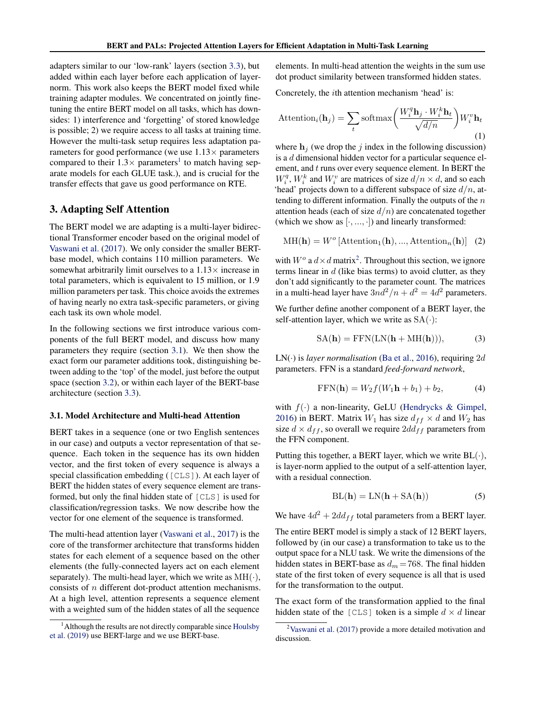<span id="page-3-0"></span>adapters similar to our 'low-rank' layers (section [3.3\)](#page-4-0), but added within each layer before each application of layernorm. This work also keeps the BERT model fixed while training adapter modules. We concentrated on jointly finetuning the entire BERT model on all tasks, which has downsides: 1) interference and 'forgetting' of stored knowledge is possible; 2) we require access to all tasks at training time. However the multi-task setup requires less adaptation parameters for good performance (we use  $1.13\times$  parameters compared to their  $1.3 \times$  parameters<sup>1</sup> to match having separate models for each GLUE task.), and is crucial for the transfer effects that gave us good performance on RTE.

#### 3. Adapting Self Attention

The BERT model we are adapting is a multi-layer bidirectional Transformer encoder based on the original model of [Vaswani et al.](#page-10-0) [\(2017\)](#page-10-0). We only consider the smaller BERTbase model, which contains 110 million parameters. We somewhat arbitrarily limit ourselves to a  $1.13\times$  increase in total parameters, which is equivalent to 15 million, or 1.9 million parameters per task. This choice avoids the extremes of having nearly no extra task-specific parameters, or giving each task its own whole model.

In the following sections we first introduce various components of the full BERT model, and discuss how many parameters they require (section 3.1). We then show the exact form our parameter additions took, distinguishing between adding to the 'top' of the model, just before the output space (section [3.2\)](#page-4-0), or within each layer of the BERT-base architecture (section [3.3\)](#page-4-0).

#### 3.1. Model Architecture and Multi-head Attention

BERT takes in a sequence (one or two English sentences in our case) and outputs a vector representation of that sequence. Each token in the sequence has its own hidden vector, and the first token of every sequence is always a special classification embedding ([CLS]). At each layer of BERT the hidden states of every sequence element are transformed, but only the final hidden state of [CLS] is used for classification/regression tasks. We now describe how the vector for one element of the sequence is transformed.

The multi-head attention layer [\(Vaswani et al.,](#page-10-0) [2017\)](#page-10-0) is the core of the transformer architecture that transforms hidden states for each element of a sequence based on the other elements (the fully-connected layers act on each element separately). The multi-head layer, which we write as  $MH(\cdot)$ , consists of n different dot-product attention mechanisms. At a high level, attention represents a sequence element with a weighted sum of the hidden states of all the sequence

elements. In multi-head attention the weights in the sum use dot product similarity between transformed hidden states.

Concretely, the ith attention mechanism 'head' is:

$$
\text{Attention}_{i}(\mathbf{h}_{j}) = \sum_{t} \text{softmax}\left(\frac{W_{i}^{q} \mathbf{h}_{j} \cdot W_{i}^{k} \mathbf{h}_{t}}{\sqrt{d/n}}\right) W_{i}^{v} \mathbf{h}_{t}
$$
\n(1)

where  $h_i$  (we drop the j index in the following discussion) is a  $d$  dimensional hidden vector for a particular sequence element, and t runs over every sequence element. In BERT the  $W_i^q$ ,  $W_i^k$  and  $W_i^v$  are matrices of size  $d/n \times d$ , and so each 'head' projects down to a different subspace of size  $d/n$ , attending to different information. Finally the outputs of the  $n$ attention heads (each of size  $d/n$ ) are concatenated together (which we show as  $[\cdot, ..., \cdot]$ ) and linearly transformed:

$$
MH(\mathbf{h}) = W^o\left[Attention_1(\mathbf{h}), ..., Action_n(\mathbf{h})\right] \quad (2)
$$

with  $W^o$  a  $d \times d$  matrix<sup>2</sup>. Throughout this section, we ignore terms linear in  $d$  (like bias terms) to avoid clutter, as they don't add significantly to the parameter count. The matrices in a multi-head layer have  $3nd^2/n + d^2 = 4d^2$  parameters.

We further define another component of a BERT layer, the self-attention layer, which we write as  $SA(\cdot)$ :

$$
SA(\mathbf{h}) = FFN(LN(\mathbf{h} + MH(\mathbf{h}))), \tag{3}
$$

LN( $\cdot$ ) is *layer normalisation* [\(Ba et al.,](#page-9-0) [2016\)](#page-9-0), requiring 2*d* parameters. FFN is a standard *feed-forward network*,

$$
FFN(\mathbf{h}) = W_2 f(W_1 \mathbf{h} + b_1) + b_2,\tag{4}
$$

with  $f(\cdot)$  a non-linearity, GeLU [\(Hendrycks & Gimpel,](#page-9-0) [2016\)](#page-9-0) in BERT. Matrix  $W_1$  has size  $d_{ff} \times d$  and  $W_2$  has size  $d \times d_{ff}$ , so overall we require  $2dd_{ff}$  parameters from the FFN component.

Putting this together, a BERT layer, which we write  $BL(\cdot)$ , is layer-norm applied to the output of a self-attention layer, with a residual connection.

$$
BL(h) = LN(h + SA(h))
$$
 (5)

We have  $4d^2 + 2dd_{ff}$  total parameters from a BERT layer.

The entire BERT model is simply a stack of 12 BERT layers, followed by (in our case) a transformation to take us to the output space for a NLU task. We write the dimensions of the hidden states in BERT-base as  $d_m = 768$ . The final hidden state of the first token of every sequence is all that is used for the transformation to the output.

The exact form of the transformation applied to the final hidden state of the  $\lceil \text{CLS} \rceil$  token is a simple  $d \times d$  linear

<sup>&</sup>lt;sup>1</sup> Although the results are not directly comparable since [Houlsby](#page-9-0) [et al.](#page-9-0) [\(2019\)](#page-9-0) use BERT-large and we use BERT-base.

 $2$ [Vaswani et al.](#page-10-0) [\(2017\)](#page-10-0) provide a more detailed motivation and discussion.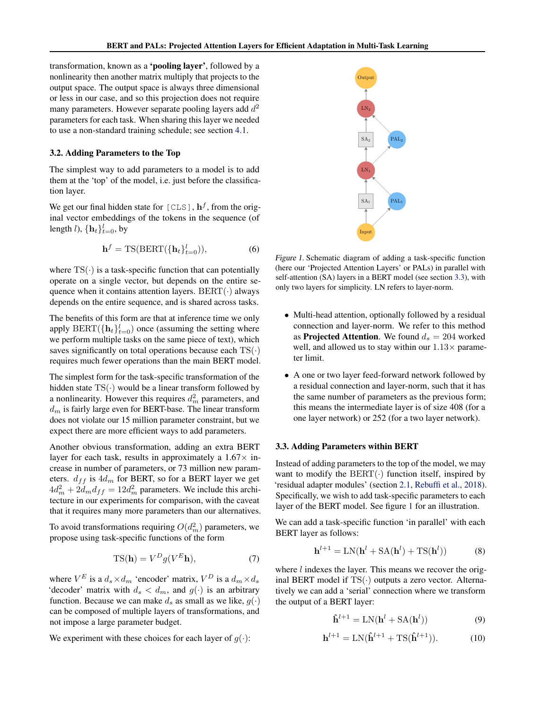<span id="page-4-0"></span>transformation, known as a 'pooling layer', followed by a nonlinearity then another matrix multiply that projects to the output space. The output space is always three dimensional or less in our case, and so this projection does not require many parameters. However separate pooling layers add  $d^2$ parameters for each task. When sharing this layer we needed to use a non-standard training schedule; see section [4.1.](#page-5-0)

#### 3.2. Adding Parameters to the Top

The simplest way to add parameters to a model is to add them at the 'top' of the model, i.e. just before the classification layer.

We get our final hidden state for [CLS],  $\mathbf{h}^{f}$ , from the original vector embeddings of the tokens in the sequence (of length *l*),  $\{\mathbf{h}_t\}_{t=0}^l$ , by

$$
\mathbf{h}^{f} = \text{TS}(\text{BERT}(\{\mathbf{h}_{t}\}_{t=0}^{l}))
$$
\n(6)

where  $TS(\cdot)$  is a task-specific function that can potentially operate on a single vector, but depends on the entire sequence when it contains attention layers.  $BERT(\cdot)$  always depends on the entire sequence, and is shared across tasks.

The benefits of this form are that at inference time we only apply  $BERT(\{\mathbf{h}_t\}_{t=0}^l)$  once (assuming the setting where we perform multiple tasks on the same piece of text), which saves significantly on total operations because each  $TS(\cdot)$ requires much fewer operations than the main BERT model.

The simplest form for the task-specific transformation of the hidden state  $TS(\cdot)$  would be a linear transform followed by a nonlinearity. However this requires  $d_m^2$  parameters, and  $d_m$  is fairly large even for BERT-base. The linear transform does not violate our 15 million parameter constraint, but we expect there are more efficient ways to add parameters.

Another obvious transformation, adding an extra BERT layer for each task, results in approximately a  $1.67\times$  increase in number of parameters, or 73 million new parameters.  $d_{ff}$  is  $4d_m$  for BERT, so for a BERT layer we get  $4d_m^2 + 2d_m d_{ff} = 12d_m^2$  parameters. We include this architecture in our experiments for comparison, with the caveat that it requires many more parameters than our alternatives.

To avoid transformations requiring  $O(d_m^2)$  parameters, we propose using task-specific functions of the form

$$
TS(\mathbf{h}) = V^D g(V^E \mathbf{h}),\tag{7}
$$

where  $V^E$  is a  $d_s \times d_m$  'encoder' matrix,  $V^D$  is a  $d_m \times d_s$ 'decoder' matrix with  $d_s < d_m$ , and  $g(\cdot)$  is an arbitrary function. Because we can make  $d_s$  as small as we like,  $g(\cdot)$ can be composed of multiple layers of transformations, and not impose a large parameter budget.

We experiment with these choices for each layer of  $q(\cdot)$ :



Figure 1. Schematic diagram of adding a task-specific function (here our 'Projected Attention Layers' or PALs) in parallel with self-attention (SA) layers in a BERT model (see section 3.3), with only two layers for simplicity. LN refers to layer-norm.

- Multi-head attention, optionally followed by a residual connection and layer-norm. We refer to this method as **Projected Attention**. We found  $d_s = 204$  worked well, and allowed us to stay within our  $1.13\times$  parameter limit.
- A one or two layer feed-forward network followed by a residual connection and layer-norm, such that it has the same number of parameters as the previous form; this means the intermediate layer is of size 408 (for a one layer network) or 252 (for a two layer network).

#### 3.3. Adding Parameters within BERT

Instead of adding parameters to the top of the model, we may want to modify the  $BERT(\cdot)$  function itself, inspired by 'residual adapter modules' (section [2.1,](#page-2-0) [Rebuffi et al.,](#page-10-0) [2018\)](#page-10-0). Specifically, we wish to add task-specific parameters to each layer of the BERT model. See figure 1 for an illustration.

We can add a task-specific function 'in parallel' with each BERT layer as follows:

$$
\mathbf{h}^{l+1} = \text{LN}(\mathbf{h}^l + \text{SA}(\mathbf{h}^l) + \text{TS}(\mathbf{h}^l))
$$
 (8)

where *l* indexes the layer. This means we recover the original BERT model if  $TS(\cdot)$  outputs a zero vector. Alternatively we can add a 'serial' connection where we transform the output of a BERT layer:

$$
\hat{\mathbf{h}}^{l+1} = \text{LN}(\mathbf{h}^l + \text{SA}(\mathbf{h}^l))\tag{9}
$$

$$
\mathbf{h}^{l+1} = \text{LN}(\hat{\mathbf{h}}^{l+1} + \text{TS}(\hat{\mathbf{h}}^{l+1})).\tag{10}
$$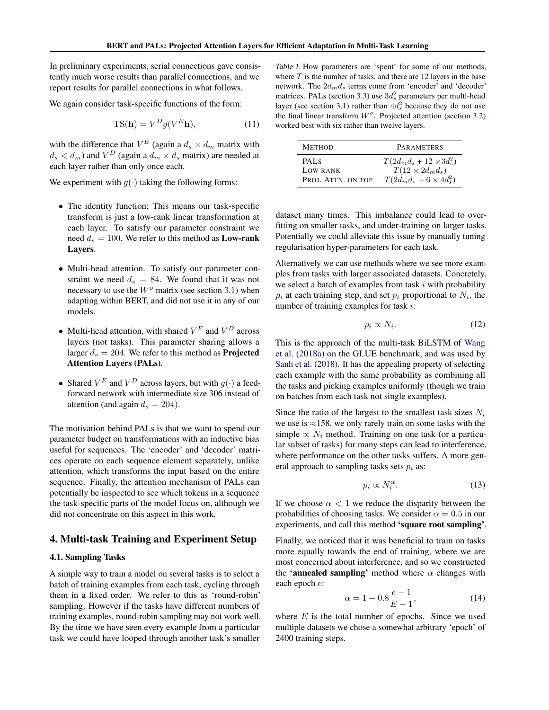<span id="page-5-0"></span>In preliminary experiments, serial connections gave consistently much worse results than parallel connections, and we report results for parallel connections in what follows.

We again consider task-specific functions of the form:

$$
TS(\mathbf{h}) = V^D g(V^E \mathbf{h}),\tag{11}
$$

with the difference that  $V^E$  (again a  $d_s \times d_m$  matrix with  $d_s < d_m$ ) and  $V^D$  (again a  $d_m \times d_s$  matrix) are needed at each layer rather than only once each.

We experiment with  $g(\cdot)$  taking the following forms:

- The identity function; This means our task-specific transform is just a low-rank linear transformation at each layer. To satisfy our parameter constraint we need  $d_s = 100$ . We refer to this method as **Low-rank** Layers.
- Multi-head attention. To satisfy our parameter constraint we need  $d_s = 84$ . We found that it was not necessary to use the  $W<sup>o</sup>$  matrix (see section [3.1\)](#page-3-0) when adapting within BERT, and did not use it in any of our models.
- Multi-head attention, with shared  $V^E$  and  $V^D$  across layers (not tasks). This parameter sharing allows a larger  $d_s = 204$ . We refer to this method as **Projected** Attention Layers (PALs).
- Shared  $V^E$  and  $V^D$  across layers, but with  $g(\cdot)$  a feedforward network with intermediate size 306 instead of attention (and again  $d_s = 204$ ).

The motivation behind PALs is that we want to spend our parameter budget on transformations with an inductive bias useful for sequences. The 'encoder' and 'decoder' matrices operate on each sequence element separately, unlike attention, which transforms the input based on the entire sequence. Finally, the attention mechanism of PALs can potentially be inspected to see which tokens in a sequence the task-specific parts of the model focus on, although we did not concentrate on this aspect in this work.

#### 4. Multi-task Training and Experiment Setup

#### 4.1. Sampling Tasks

A simple way to train a model on several tasks is to select a batch of training examples from each task, cycling through them in a fixed order. We refer to this as 'round-robin' sampling. However if the tasks have different numbers of training examples, round-robin sampling may not work well. By the time we have seen every example from a particular task we could have looped through another task's smaller

Table 1. How parameters are 'spent' for some of our methods, where  $T$  is the number of tasks, and there are 12 layers in the base network. The  $2d_m d_s$  terms come from 'encoder' and 'decoder' matrices. PALs (section [3.3\)](#page-4-0) use  $3d_s^2$  parameters per multi-head layer (see section [3.1\)](#page-3-0) rather than  $4d_s^2$  because they do not use the final linear transform  $W<sup>o</sup>$ . Projected attention (section [3.2\)](#page-4-0) worked best with six rather than twelve layers.

| <b>METHOD</b>      | <b>PARAMETERS</b>                |
|--------------------|----------------------------------|
| PAL <sub>S</sub>   | $T(2d_m d_s + 12 \times 3d_s^2)$ |
| <b>LOW RANK</b>    | $T(12 \times 2d_m d_s)$          |
| PROJ. ATTN. ON TOP | $T(2d_m d_s + 6 \times 4d_s^2)$  |

dataset many times. This imbalance could lead to overfitting on smaller tasks, and under-training on larger tasks. Potentially we could alleviate this issue by manually tuning regularisation hyper-parameters for each task.

Alternatively we can use methods where we see more examples from tasks with larger associated datasets. Concretely, we select a batch of examples from task  $i$  with probability  $p_i$  at each training step, and set  $p_i$  proportional to  $N_i$ , the number of training examples for task i:

$$
p_i \propto N_i. \tag{12}
$$

This is the approach of the multi-task BiLSTM of [Wang](#page-10-0) [et al.](#page-10-0) [\(2018a\)](#page-10-0) on the GLUE benchmark, and was used by [Sanh et al.](#page-10-0) [\(2018\)](#page-10-0). It has the appealing property of selecting each example with the same probability as combining all the tasks and picking examples uniformly (though we train on batches from each task not single examples).

Since the ratio of the largest to the smallest task sizes  $N_i$ we use is  $\approx$ 158, we only rarely train on some tasks with the simple  $\propto N_i$  method. Training on one task (or a particular subset of tasks) for many steps can lead to interference, where performance on the other tasks suffers. A more general approach to sampling tasks sets  $p_i$  as:

$$
p_i \propto N_i^{\alpha}.\tag{13}
$$

If we choose  $\alpha < 1$  we reduce the disparity between the probabilities of choosing tasks. We consider  $\alpha = 0.5$  in our experiments, and call this method 'square root sampling'.

Finally, we noticed that it was beneficial to train on tasks more equally towards the end of training, where we are most concerned about interference, and so we constructed the 'annealed sampling' method where  $\alpha$  changes with each epoch e:

$$
\alpha = 1 - 0.8 \frac{e - 1}{E - 1},\tag{14}
$$

where  $E$  is the total number of epochs. Since we used multiple datasets we chose a somewhat arbitrary 'epoch' of 2400 training steps.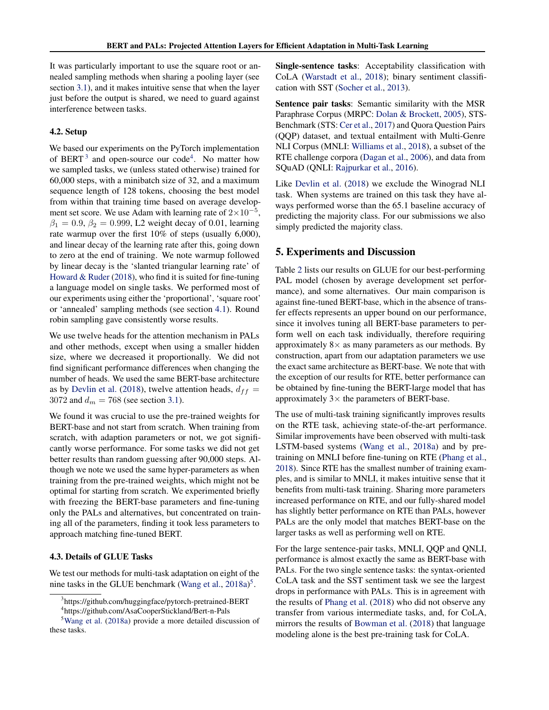It was particularly important to use the square root or annealed sampling methods when sharing a pooling layer (see section [3.1\)](#page-3-0), and it makes intuitive sense that when the layer just before the output is shared, we need to guard against interference between tasks.

#### 4.2. Setup

We based our experiments on the PyTorch implementation of BERT<sup>3</sup> and open-source our code<sup>4</sup>. No matter how we sampled tasks, we (unless stated otherwise) trained for 60,000 steps, with a minibatch size of 32, and a maximum sequence length of 128 tokens, choosing the best model from within that training time based on average development set score. We use Adam with learning rate of  $2\times10^{-5}$ ,  $\beta_1 = 0.9, \beta_2 = 0.999, L2$  weight decay of 0.01, learning rate warmup over the first 10% of steps (usually 6,000), and linear decay of the learning rate after this, going down to zero at the end of training. We note warmup followed by linear decay is the 'slanted triangular learning rate' of [Howard & Ruder](#page-9-0) [\(2018\)](#page-9-0), who find it is suited for fine-tuning a language model on single tasks. We performed most of our experiments using either the 'proportional', 'square root' or 'annealed' sampling methods (see section [4.1\)](#page-5-0). Round robin sampling gave consistently worse results.

We use twelve heads for the attention mechanism in PALs and other methods, except when using a smaller hidden size, where we decreased it proportionally. We did not find significant performance differences when changing the number of heads. We used the same BERT-base architecture as by [Devlin et al.](#page-9-0) [\(2018\)](#page-9-0), twelve attention heads,  $d_{ff}$  = 3072 and  $d_m = 768$  (see section [3.1\)](#page-3-0).

We found it was crucial to use the pre-trained weights for BERT-base and not start from scratch. When training from scratch, with adaption parameters or not, we got significantly worse performance. For some tasks we did not get better results than random guessing after 90,000 steps. Although we note we used the same hyper-parameters as when training from the pre-trained weights, which might not be optimal for starting from scratch. We experimented briefly with freezing the BERT-base parameters and fine-tuning only the PALs and alternatives, but concentrated on training all of the parameters, finding it took less parameters to approach matching fine-tuned BERT.

#### 4.3. Details of GLUE Tasks

We test our methods for multi-task adaptation on eight of the nine tasks in the GLUE benchmark [\(Wang et al.,](#page-10-0) [2018a\)](#page-10-0)<sup>5</sup>.

Single-sentence tasks: Acceptability classification with CoLA [\(Warstadt et al.,](#page-10-0) [2018\)](#page-10-0); binary sentiment classification with SST [\(Socher et al.,](#page-10-0) [2013\)](#page-10-0).

Sentence pair tasks: Semantic similarity with the MSR Paraphrase Corpus (MRPC: [Dolan & Brockett,](#page-9-0) [2005\)](#page-9-0), STS-Benchmark (STS: [Cer et al.,](#page-9-0) [2017\)](#page-9-0) and Quora Question Pairs (QQP) dataset, and textual entailment with Multi-Genre NLI Corpus (MNLI: [Williams et al.,](#page-10-0) [2018\)](#page-10-0), a subset of the RTE challenge corpora [\(Dagan et al.,](#page-9-0) [2006\)](#page-9-0), and data from SQuAD (QNLI: [Rajpurkar et al.,](#page-10-0) [2016\)](#page-10-0).

Like [Devlin et al.](#page-9-0) [\(2018\)](#page-9-0) we exclude the Winograd NLI task. When systems are trained on this task they have always performed worse than the 65.1 baseline accuracy of predicting the majority class. For our submissions we also simply predicted the majority class.

#### 5. Experiments and Discussion

Table [2](#page-7-0) lists our results on GLUE for our best-performing PAL model (chosen by average development set performance), and some alternatives. Our main comparison is against fine-tuned BERT-base, which in the absence of transfer effects represents an upper bound on our performance, since it involves tuning all BERT-base parameters to perform well on each task individually, therefore requiring approximately  $8\times$  as many parameters as our methods. By construction, apart from our adaptation parameters we use the exact same architecture as BERT-base. We note that with the exception of our results for RTE, better performance can be obtained by fine-tuning the BERT-large model that has approximately  $3 \times$  the parameters of BERT-base.

The use of multi-task training significantly improves results on the RTE task, achieving state-of-the-art performance. Similar improvements have been observed with multi-task LSTM-based systems [\(Wang et al.,](#page-10-0) [2018a\)](#page-10-0) and by pretraining on MNLI before fine-tuning on RTE [\(Phang et al.,](#page-10-0) [2018\)](#page-10-0). Since RTE has the smallest number of training examples, and is similar to MNLI, it makes intuitive sense that it benefits from multi-task training. Sharing more parameters increased performance on RTE, and our fully-shared model has slightly better performance on RTE than PALs, however PALs are the only model that matches BERT-base on the larger tasks as well as performing well on RTE.

For the large sentence-pair tasks, MNLI, QQP and QNLI, performance is almost exactly the same as BERT-base with PALs. For the two single sentence tasks: the syntax-oriented CoLA task and the SST sentiment task we see the largest drops in performance with PALs. This is in agreement with the results of [Phang et al.](#page-10-0) [\(2018\)](#page-10-0) who did not observe any transfer from various intermediate tasks, and, for CoLA, mirrors the results of [Bowman et al.](#page-9-0) [\(2018\)](#page-9-0) that language modeling alone is the best pre-training task for CoLA.

<sup>&</sup>lt;sup>3</sup>https://github.com/huggingface/pytorch-pretrained-BERT

<sup>4</sup> https://github.com/AsaCooperStickland/Bert-n-Pals

<sup>5</sup>[Wang et al.](#page-10-0) [\(2018a\)](#page-10-0) provide a more detailed discussion of these tasks.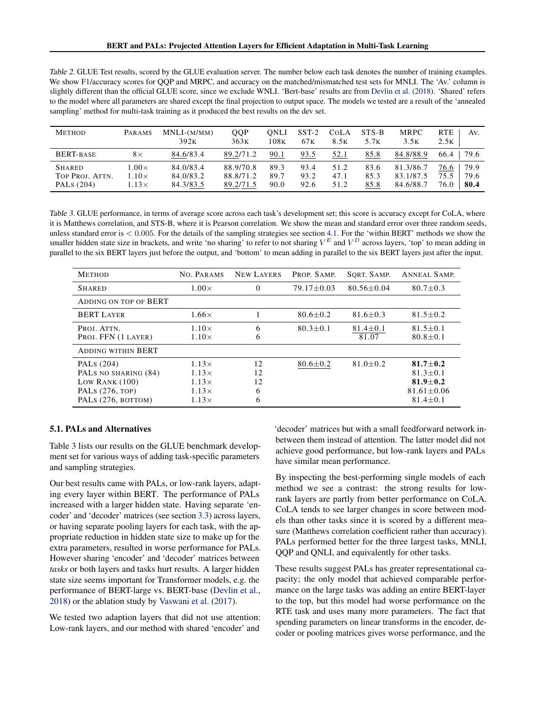<span id="page-7-0"></span>Table 2. GLUE Test results, scored by the GLUE evaluation server. The number below each task denotes the number of training examples. We show F1/accuracy scores for QQP and MRPC, and accuracy on the matched/mismatched test sets for MNLI. The 'Av.' column is slightly different than the official GLUE score, since we exclude WNLI. 'Bert-base' results are from [Devlin et al.](#page-9-0) [\(2018\)](#page-9-0). 'Shared' refers to the model where all parameters are shared except the final projection to output space. The models we tested are a result of the 'annealed sampling' method for multi-task training as it produced the best results on the dev set.

| <b>METHOD</b>                    | PARAMS                       | $MNLI-(M/MM)$<br>392K  | <b>OOP</b><br>363K     | ONLI<br>108K | $SST-2$<br>67 <sub>K</sub> | <b>COLA</b><br>8.5 <sub>K</sub> | STS-B<br>5.7 <sub>K</sub> | <b>MRPC</b><br>3.5K    | <b>RTE</b><br>Av.<br>2.5K    |
|----------------------------------|------------------------------|------------------------|------------------------|--------------|----------------------------|---------------------------------|---------------------------|------------------------|------------------------------|
| BERT-BASE                        | $8\times$                    | 84.6/83.4              | 89.2/71.2              | 90.1         | 93.5                       | 52.1                            | 85.8                      | 84.8/88.9              | 66.4<br>79.6                 |
| <b>SHARED</b><br>TOP PROJ. ATTN. | $0.00\times$<br>$1.10\times$ | 84.0/83.4<br>84.0/83.2 | 88.9/70.8<br>88.8/71.2 | 89.3<br>89.7 | 93.4<br>93.2               | 51.2<br>47.1                    | 83.6<br>85.3              | 81.3/86.7<br>83.1/87.5 | 79.9<br>76.6<br>79.6<br>75.5 |
| PALS (204)                       | $.13\times$                  | 84.3/83.5              | 89.2/71.5              | 90.0         | 92.6                       | 51.2                            | 85.8                      | 84.6/88.7              | 80.4<br>76.0                 |

Table 3. GLUE performance, in terms of average score across each task's development set; this score is accuracy except for CoLA, where it is Matthews correlation, and STS-B, where it is Pearson correlation. We show the mean and standard error over three random seeds, unless standard error is  $< 0.005$ . For the details of the sampling strategies see section [4.1.](#page-5-0) For the 'within BERT' methods we show the smaller hidden state size in brackets, and write 'no sharing' to refer to not sharing  $V^E$  and  $V^D$  across layers, 'top' to mean adding in parallel to the six BERT layers just before the output, and 'bottom' to mean adding in parallel to the six BERT layers just after the input.

| <b>METHOD</b>                                                                                   | NO. PARAMS                                                                   | <b>NEW LAYERS</b>        | PROP. SAMP.      | SORT. SAMP.             | <b>ANNEAL SAMP.</b>                                                                  |
|-------------------------------------------------------------------------------------------------|------------------------------------------------------------------------------|--------------------------|------------------|-------------------------|--------------------------------------------------------------------------------------|
| <b>SHARED</b>                                                                                   | $1.00\times$                                                                 | $\Omega$                 | $79.17 \pm 0.03$ | $80.56 + 0.04$          | $80.7 \pm 0.3$                                                                       |
| ADDING ON TOP OF BERT                                                                           |                                                                              |                          |                  |                         |                                                                                      |
| <b>BERT LAYER</b>                                                                               | $1.66\times$                                                                 |                          | $80.6 \pm 0.2$   | $81.6 + 0.3$            | $81.5 \pm 0.2$                                                                       |
| PROJ. ATTN.<br>PROJ. FFN (1 LAYER)                                                              | $1.10\times$<br>$1.10\times$                                                 | 6<br>6                   | $80.3 \pm 0.1$   | $81.4 \pm 0.1$<br>81.07 | $81.5 \pm 0.1$<br>$80.8 \pm 0.1$                                                     |
| <b>ADDING WITHIN BERT</b>                                                                       |                                                                              |                          |                  |                         |                                                                                      |
| PALS (204)<br>PALS NO SHARING (84)<br>LOW RANK $(100)$<br>PALS (276, TOP)<br>PALS (276, BOTTOM) | $1.13\times$<br>$1.13\times$<br>$1.13\times$<br>$1.13\times$<br>$1.13\times$ | 12<br>12<br>12<br>6<br>6 | $80.6 \pm 0.2$   | $81.0 \pm 0.2$          | $81.7 + 0.2$<br>$81.3 + 0.1$<br>81.9 $\pm$ 0.2<br>$81.61 \pm 0.06$<br>$81.4 \pm 0.1$ |

#### 5.1. PALs and Alternatives

Table 3 lists our results on the GLUE benchmark development set for various ways of adding task-specific parameters and sampling strategies.

Our best results came with PALs, or low-rank layers, adapting every layer within BERT. The performance of PALs increased with a larger hidden state. Having separate 'encoder' and 'decoder' matrices (see section [3.3\)](#page-4-0) across layers, or having separate pooling layers for each task, with the appropriate reduction in hidden state size to make up for the extra parameters, resulted in worse performance for PALs. However sharing 'encoder' and 'decoder' matrices between *tasks* or both layers and tasks hurt results. A larger hidden state size seems important for Transformer models, e.g. the performance of BERT-large vs. BERT-base [\(Devlin et al.,](#page-9-0) [2018\)](#page-9-0) or the ablation study by [Vaswani et al.](#page-10-0) [\(2017\)](#page-10-0).

We tested two adaption layers that did not use attention: Low-rank layers, and our method with shared 'encoder' and 'decoder' matrices but with a small feedforward network inbetween them instead of attention. The latter model did not achieve good performance, but low-rank layers and PALs have similar mean performance.

By inspecting the best-performing single models of each method we see a contrast: the strong results for lowrank layers are partly from better performance on CoLA. CoLA tends to see larger changes in score between models than other tasks since it is scored by a different measure (Matthews correlation coefficient rather than accuracy). PALs performed better for the three largest tasks, MNLI, QQP and QNLI, and equivalently for other tasks.

These results suggest PALs has greater representational capacity; the only model that achieved comparable performance on the large tasks was adding an entire BERT-layer to the top, but this model had worse performance on the RTE task and uses many more parameters. The fact that spending parameters on linear transforms in the encoder, decoder or pooling matrices gives worse performance, and the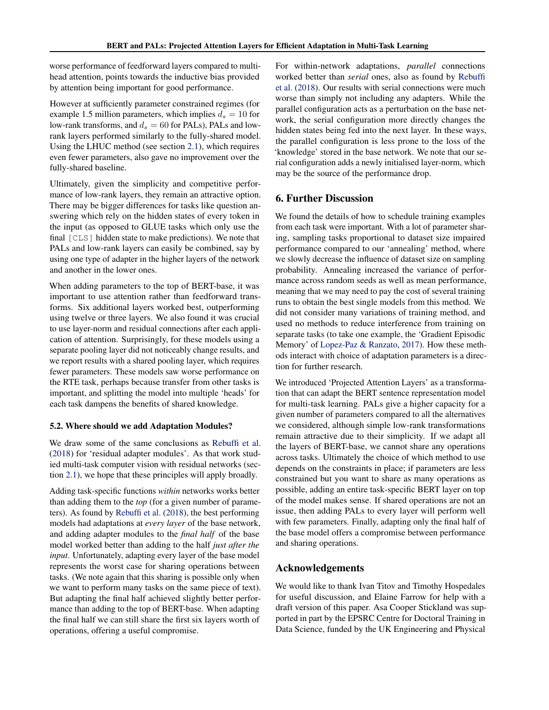worse performance of feedforward layers compared to multihead attention, points towards the inductive bias provided by attention being important for good performance.

However at sufficiently parameter constrained regimes (for example 1.5 million parameters, which implies  $d_s = 10$  for low-rank transforms, and  $d_s = 60$  for PALs), PALs and lowrank layers performed similarly to the fully-shared model. Using the LHUC method (see section [2.1\)](#page-2-0), which requires even fewer parameters, also gave no improvement over the fully-shared baseline.

Ultimately, given the simplicity and competitive performance of low-rank layers, they remain an attractive option. There may be bigger differences for tasks like question answering which rely on the hidden states of every token in the input (as opposed to GLUE tasks which only use the final [CLS] hidden state to make predictions). We note that PALs and low-rank layers can easily be combined, say by using one type of adapter in the higher layers of the network and another in the lower ones.

When adding parameters to the top of BERT-base, it was important to use attention rather than feedforward transforms. Six additional layers worked best, outperforming using twelve or three layers. We also found it was crucial to use layer-norm and residual connections after each application of attention. Surprisingly, for these models using a separate pooling layer did not noticeably change results, and we report results with a shared pooling layer, which requires fewer parameters. These models saw worse performance on the RTE task, perhaps because transfer from other tasks is important, and splitting the model into multiple 'heads' for each task dampens the benefits of shared knowledge.

#### 5.2. Where should we add Adaptation Modules?

We draw some of the same conclusions as [Rebuffi et al.](#page-10-0) [\(2018\)](#page-10-0) for 'residual adapter modules'. As that work studied multi-task computer vision with residual networks (section [2.1\)](#page-2-0), we hope that these principles will apply broadly.

Adding task-specific functions *within* networks works better than adding them to the *top* (for a given number of parameters). As found by [Rebuffi et al.](#page-10-0) [\(2018\)](#page-10-0), the best performing models had adaptations at *every layer* of the base network, and adding adapter modules to the *final half* of the base model worked better than adding to the half *just after the input*. Unfortunately, adapting every layer of the base model represents the worst case for sharing operations between tasks. (We note again that this sharing is possible only when we want to perform many tasks on the same piece of text). But adapting the final half achieved slightly better performance than adding to the top of BERT-base. When adapting the final half we can still share the first six layers worth of operations, offering a useful compromise.

For within-network adaptations, *parallel* connections worked better than *serial* ones, also as found by [Rebuffi](#page-10-0) [et al.](#page-10-0) [\(2018\)](#page-10-0). Our results with serial connections were much worse than simply not including any adapters. While the parallel configuration acts as a perturbation on the base network, the serial configuration more directly changes the hidden states being fed into the next layer. In these ways, the parallel configuration is less prone to the loss of the 'knowledge' stored in the base network. We note that our serial configuration adds a newly initialised layer-norm, which may be the source of the performance drop.

#### 6. Further Discussion

We found the details of how to schedule training examples from each task were important. With a lot of parameter sharing, sampling tasks proportional to dataset size impaired performance compared to our 'annealing' method, where we slowly decrease the influence of dataset size on sampling probability. Annealing increased the variance of performance across random seeds as well as mean performance, meaning that we may need to pay the cost of several training runs to obtain the best single models from this method. We did not consider many variations of training method, and used no methods to reduce interference from training on separate tasks (to take one example, the 'Gradient Episodic Memory' of [Lopez-Paz & Ranzato,](#page-9-0) [2017\)](#page-9-0). How these methods interact with choice of adaptation parameters is a direction for further research.

We introduced 'Projected Attention Layers' as a transformation that can adapt the BERT sentence representation model for multi-task learning. PALs give a higher capacity for a given number of parameters compared to all the alternatives we considered, although simple low-rank transformations remain attractive due to their simplicity. If we adapt all the layers of BERT-base, we cannot share any operations across tasks. Ultimately the choice of which method to use depends on the constraints in place; if parameters are less constrained but you want to share as many operations as possible, adding an entire task-specific BERT layer on top of the model makes sense. If shared operations are not an issue, then adding PALs to every layer will perform well with few parameters. Finally, adapting only the final half of the base model offers a compromise between performance and sharing operations.

#### Acknowledgements

We would like to thank Ivan Titov and Timothy Hospedales for useful discussion, and Elaine Farrow for help with a draft version of this paper. Asa Cooper Stickland was supported in part by the EPSRC Centre for Doctoral Training in Data Science, funded by the UK Engineering and Physical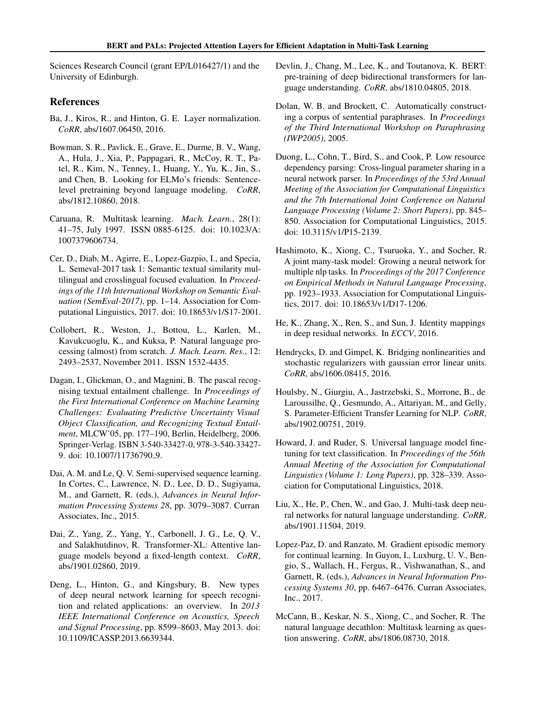<span id="page-9-0"></span>Sciences Research Council (grant EP/L016427/1) and the University of Edinburgh.

#### References

- Ba, J., Kiros, R., and Hinton, G. E. Layer normalization. *CoRR*, abs/1607.06450, 2016.
- Bowman, S. R., Pavlick, E., Grave, E., Durme, B. V., Wang, A., Hula, J., Xia, P., Pappagari, R., McCoy, R. T., Patel, R., Kim, N., Tenney, I., Huang, Y., Yu, K., Jin, S., and Chen, B. Looking for ELMo's friends: Sentencelevel pretraining beyond language modeling. *CoRR*, abs/1812.10860, 2018.
- Caruana, R. Multitask learning. *Mach. Learn.*, 28(1): 41–75, July 1997. ISSN 0885-6125. doi: 10.1023/A: 1007379606734.
- Cer, D., Diab, M., Agirre, E., Lopez-Gazpio, I., and Specia, L. Semeval-2017 task 1: Semantic textual similarity multilingual and crosslingual focused evaluation. In *Proceedings of the 11th International Workshop on Semantic Evaluation (SemEval-2017)*, pp. 1–14. Association for Computational Linguistics, 2017. doi: 10.18653/v1/S17-2001.
- Collobert, R., Weston, J., Bottou, L., Karlen, M., Kavukcuoglu, K., and Kuksa, P. Natural language processing (almost) from scratch. *J. Mach. Learn. Res.*, 12: 2493–2537, November 2011. ISSN 1532-4435.
- Dagan, I., Glickman, O., and Magnini, B. The pascal recognising textual entailment challenge. In *Proceedings of the First International Conference on Machine Learning Challenges: Evaluating Predictive Uncertainty Visual Object Classification, and Recognizing Textual Entailment*, MLCW'05, pp. 177–190, Berlin, Heidelberg, 2006. Springer-Verlag. ISBN 3-540-33427-0, 978-3-540-33427- 9. doi: 10.1007/11736790 9.
- Dai, A. M. and Le, Q. V. Semi-supervised sequence learning. In Cortes, C., Lawrence, N. D., Lee, D. D., Sugiyama, M., and Garnett, R. (eds.), *Advances in Neural Information Processing Systems 28*, pp. 3079–3087. Curran Associates, Inc., 2015.
- Dai, Z., Yang, Z., Yang, Y., Carbonell, J. G., Le, Q. V., and Salakhutdinov, R. Transformer-XL: Attentive language models beyond a fixed-length context. *CoRR*, abs/1901.02860, 2019.
- Deng, L., Hinton, G., and Kingsbury, B. New types of deep neural network learning for speech recognition and related applications: an overview. In *2013 IEEE International Conference on Acoustics, Speech and Signal Processing*, pp. 8599–8603, May 2013. doi: 10.1109/ICASSP.2013.6639344.
- Devlin, J., Chang, M., Lee, K., and Toutanova, K. BERT: pre-training of deep bidirectional transformers for language understanding. *CoRR*, abs/1810.04805, 2018.
- Dolan, W. B. and Brockett, C. Automatically constructing a corpus of sentential paraphrases. In *Proceedings of the Third International Workshop on Paraphrasing (IWP2005)*, 2005.
- Duong, L., Cohn, T., Bird, S., and Cook, P. Low resource dependency parsing: Cross-lingual parameter sharing in a neural network parser. In *Proceedings of the 53rd Annual Meeting of the Association for Computational Linguistics and the 7th International Joint Conference on Natural Language Processing (Volume 2: Short Papers)*, pp. 845– 850. Association for Computational Linguistics, 2015. doi: 10.3115/v1/P15-2139.
- Hashimoto, K., Xiong, C., Tsuruoka, Y., and Socher, R. A joint many-task model: Growing a neural network for multiple nlp tasks. In *Proceedings of the 2017 Conference on Empirical Methods in Natural Language Processing*, pp. 1923–1933. Association for Computational Linguistics, 2017. doi: 10.18653/v1/D17-1206.
- He, K., Zhang, X., Ren, S., and Sun, J. Identity mappings in deep residual networks. In *ECCV*, 2016.
- Hendrycks, D. and Gimpel, K. Bridging nonlinearities and stochastic regularizers with gaussian error linear units. *CoRR*, abs/1606.08415, 2016.
- Houlsby, N., Giurgiu, A., Jastrzebski, S., Morrone, B., de Laroussilhe, Q., Gesmundo, A., Attariyan, M., and Gelly, S. Parameter-Efficient Transfer Learning for NLP. *CoRR*, abs/1902.00751, 2019.
- Howard, J. and Ruder, S. Universal language model finetuning for text classification. In *Proceedings of the 56th Annual Meeting of the Association for Computational Linguistics (Volume 1: Long Papers)*, pp. 328–339. Association for Computational Linguistics, 2018.
- Liu, X., He, P., Chen, W., and Gao, J. Multi-task deep neural networks for natural language understanding. *CoRR*, abs/1901.11504, 2019.
- Lopez-Paz, D. and Ranzato, M. Gradient episodic memory for continual learning. In Guyon, I., Luxburg, U. V., Bengio, S., Wallach, H., Fergus, R., Vishwanathan, S., and Garnett, R. (eds.), *Advances in Neural Information Processing Systems 30*, pp. 6467–6476. Curran Associates, Inc., 2017.
- McCann, B., Keskar, N. S., Xiong, C., and Socher, R. The natural language decathlon: Multitask learning as question answering. *CoRR*, abs/1806.08730, 2018.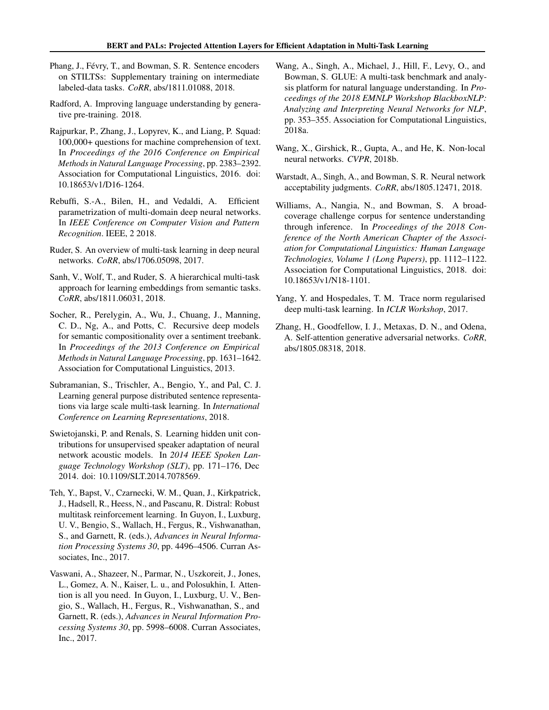- <span id="page-10-0"></span>Phang, J., Févry, T., and Bowman, S. R. Sentence encoders on STILTSs: Supplementary training on intermediate labeled-data tasks. *CoRR*, abs/1811.01088, 2018.
- Radford, A. Improving language understanding by generative pre-training. 2018.
- Rajpurkar, P., Zhang, J., Lopyrev, K., and Liang, P. Squad: 100,000+ questions for machine comprehension of text. In *Proceedings of the 2016 Conference on Empirical Methods in Natural Language Processing*, pp. 2383–2392. Association for Computational Linguistics, 2016. doi: 10.18653/v1/D16-1264.
- Rebuffi, S.-A., Bilen, H., and Vedaldi, A. Efficient parametrization of multi-domain deep neural networks. In *IEEE Conference on Computer Vision and Pattern Recognition*. IEEE, 2 2018.
- Ruder, S. An overview of multi-task learning in deep neural networks. *CoRR*, abs/1706.05098, 2017.
- Sanh, V., Wolf, T., and Ruder, S. A hierarchical multi-task approach for learning embeddings from semantic tasks. *CoRR*, abs/1811.06031, 2018.
- Socher, R., Perelygin, A., Wu, J., Chuang, J., Manning, C. D., Ng, A., and Potts, C. Recursive deep models for semantic compositionality over a sentiment treebank. In *Proceedings of the 2013 Conference on Empirical Methods in Natural Language Processing*, pp. 1631–1642. Association for Computational Linguistics, 2013.
- Subramanian, S., Trischler, A., Bengio, Y., and Pal, C. J. Learning general purpose distributed sentence representations via large scale multi-task learning. In *International Conference on Learning Representations*, 2018.
- Swietojanski, P. and Renals, S. Learning hidden unit contributions for unsupervised speaker adaptation of neural network acoustic models. In *2014 IEEE Spoken Language Technology Workshop (SLT)*, pp. 171–176, Dec 2014. doi: 10.1109/SLT.2014.7078569.
- Teh, Y., Bapst, V., Czarnecki, W. M., Quan, J., Kirkpatrick, J., Hadsell, R., Heess, N., and Pascanu, R. Distral: Robust multitask reinforcement learning. In Guyon, I., Luxburg, U. V., Bengio, S., Wallach, H., Fergus, R., Vishwanathan, S., and Garnett, R. (eds.), *Advances in Neural Information Processing Systems 30*, pp. 4496–4506. Curran Associates, Inc., 2017.
- Vaswani, A., Shazeer, N., Parmar, N., Uszkoreit, J., Jones, L., Gomez, A. N., Kaiser, L. u., and Polosukhin, I. Attention is all you need. In Guyon, I., Luxburg, U. V., Bengio, S., Wallach, H., Fergus, R., Vishwanathan, S., and Garnett, R. (eds.), *Advances in Neural Information Processing Systems 30*, pp. 5998–6008. Curran Associates, Inc., 2017.
- Wang, A., Singh, A., Michael, J., Hill, F., Levy, O., and Bowman, S. GLUE: A multi-task benchmark and analysis platform for natural language understanding. In *Proceedings of the 2018 EMNLP Workshop BlackboxNLP: Analyzing and Interpreting Neural Networks for NLP*, pp. 353–355. Association for Computational Linguistics, 2018a.
- Wang, X., Girshick, R., Gupta, A., and He, K. Non-local neural networks. *CVPR*, 2018b.
- Warstadt, A., Singh, A., and Bowman, S. R. Neural network acceptability judgments. *CoRR*, abs/1805.12471, 2018.
- Williams, A., Nangia, N., and Bowman, S. A broadcoverage challenge corpus for sentence understanding through inference. In *Proceedings of the 2018 Conference of the North American Chapter of the Association for Computational Linguistics: Human Language Technologies, Volume 1 (Long Papers)*, pp. 1112–1122. Association for Computational Linguistics, 2018. doi: 10.18653/v1/N18-1101.
- Yang, Y. and Hospedales, T. M. Trace norm regularised deep multi-task learning. In *ICLR Workshop*, 2017.
- Zhang, H., Goodfellow, I. J., Metaxas, D. N., and Odena, A. Self-attention generative adversarial networks. *CoRR*, abs/1805.08318, 2018.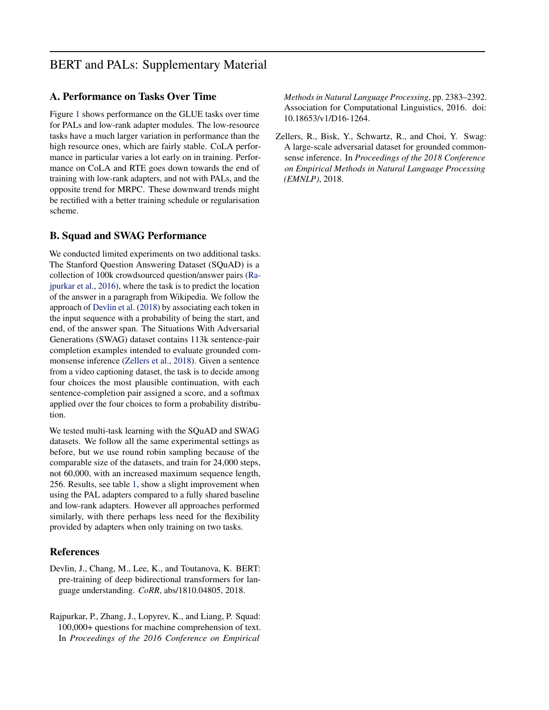### BERT and PALs: Supplementary Material

#### A. Performance on Tasks Over Time

Figure [1](#page-12-0) shows performance on the GLUE tasks over time for PALs and low-rank adapter modules. The low-resource tasks have a much larger variation in performance than the high resource ones, which are fairly stable. CoLA performance in particular varies a lot early on in training. Performance on CoLA and RTE goes down towards the end of training with low-rank adapters, and not with PALs, and the opposite trend for MRPC. These downward trends might be rectified with a better training schedule or regularisation scheme.

#### B. Squad and SWAG Performance

We conducted limited experiments on two additional tasks. The Stanford Question Answering Dataset (SQuAD) is a collection of 100k crowdsourced question/answer pairs (Rajpurkar et al., 2016), where the task is to predict the location of the answer in a paragraph from Wikipedia. We follow the approach of Devlin et al. (2018) by associating each token in the input sequence with a probability of being the start, and end, of the answer span. The Situations With Adversarial Generations (SWAG) dataset contains 113k sentence-pair completion examples intended to evaluate grounded commonsense inference (Zellers et al., 2018). Given a sentence from a video captioning dataset, the task is to decide among four choices the most plausible continuation, with each sentence-completion pair assigned a score, and a softmax applied over the four choices to form a probability distribution.

We tested multi-task learning with the SQuAD and SWAG datasets. We follow all the same experimental settings as before, but we use round robin sampling because of the comparable size of the datasets, and train for 24,000 steps, not 60,000, with an increased maximum sequence length, 256. Results, see table [1,](#page-12-0) show a slight improvement when using the PAL adapters compared to a fully shared baseline and low-rank adapters. However all approaches performed similarly, with there perhaps less need for the flexibility provided by adapters when only training on two tasks.

#### References

- Devlin, J., Chang, M., Lee, K., and Toutanova, K. BERT: pre-training of deep bidirectional transformers for language understanding. *CoRR*, abs/1810.04805, 2018.
- Rajpurkar, P., Zhang, J., Lopyrev, K., and Liang, P. Squad: 100,000+ questions for machine comprehension of text. In *Proceedings of the 2016 Conference on Empirical*

*Methods in Natural Language Processing*, pp. 2383–2392. Association for Computational Linguistics, 2016. doi: 10.18653/v1/D16-1264.

Zellers, R., Bisk, Y., Schwartz, R., and Choi, Y. Swag: A large-scale adversarial dataset for grounded commonsense inference. In *Proceedings of the 2018 Conference on Empirical Methods in Natural Language Processing (EMNLP)*, 2018.